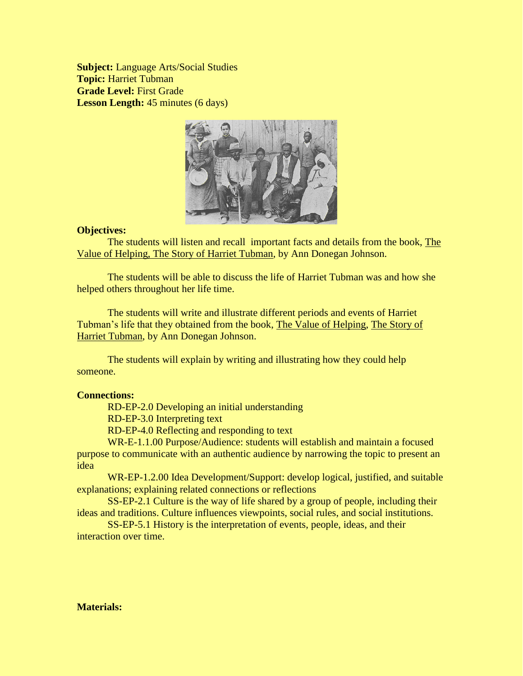**Subject:** Language Arts/Social Studies **Topic:** Harriet Tubman **Grade Level:** First Grade **Lesson Length:** 45 minutes (6 days)



### **Objectives:**

The students will listen and recall important facts and details from the book, The Value of Helping, The Story of Harriet Tubman, by Ann Donegan Johnson.

The students will be able to discuss the life of Harriet Tubman was and how she helped others throughout her life time.

The students will write and illustrate different periods and events of Harriet Tubman's life that they obtained from the book, The Value of Helping, The Story of Harriet Tubman, by Ann Donegan Johnson.

The students will explain by writing and illustrating how they could help someone.

### **Connections:**

RD-EP-2.0 Developing an initial understanding

RD-EP-3.0 Interpreting text

RD-EP-4.0 Reflecting and responding to text

WR-E-1.1.00 Purpose/Audience: students will establish and maintain a focused purpose to communicate with an authentic audience by narrowing the topic to present an idea

WR-EP-1.2.00 Idea Development/Support: develop logical, justified, and suitable explanations; explaining related connections or reflections

SS-EP-2.1 Culture is the way of life shared by a group of people, including their ideas and traditions. Culture influences viewpoints, social rules, and social institutions.

SS-EP-5.1 History is the interpretation of events, people, ideas, and their interaction over time.

# **Materials:**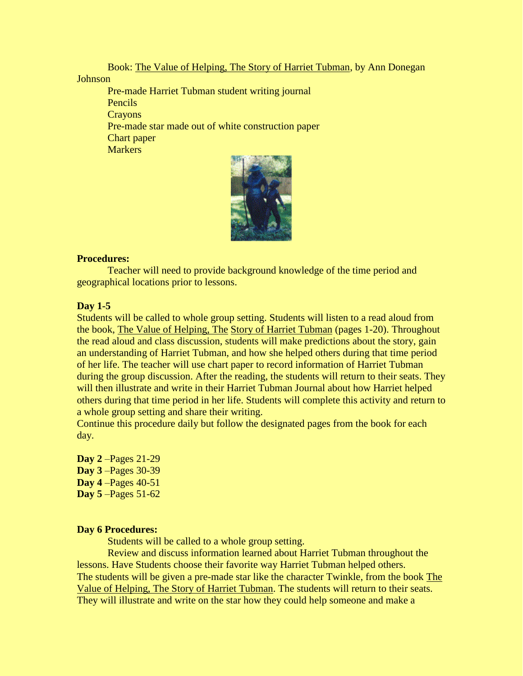Book: The Value of Helping, The Story of Harriet Tubman, by Ann Donegan

### **Johnson**

Pre-made Harriet Tubman student writing journal Pencils **Crayons** Pre-made star made out of white construction paper Chart paper **Markers** 



# **Procedures:**

Teacher will need to provide background knowledge of the time period and geographical locations prior to lessons.

# **Day 1-5**

Students will be called to whole group setting. Students will listen to a read aloud from the book, The Value of Helping, The Story of Harriet Tubman (pages 1-20). Throughout the read aloud and class discussion, students will make predictions about the story, gain an understanding of Harriet Tubman, and how she helped others during that time period of her life. The teacher will use chart paper to record information of Harriet Tubman during the group discussion. After the reading, the students will return to their seats. They will then illustrate and write in their Harriet Tubman Journal about how Harriet helped others during that time period in her life. Students will complete this activity and return to a whole group setting and share their writing.

Continue this procedure daily but follow the designated pages from the book for each day.

**Day 2** –Pages 21-29 **Day 3** –Pages 30-39 **Day 4** –Pages 40-51 **Day 5** –Pages 51-62

## **Day 6 Procedures:**

Students will be called to a whole group setting.

Review and discuss information learned about Harriet Tubman throughout the lessons. Have Students choose their favorite way Harriet Tubman helped others. The students will be given a pre-made star like the character Twinkle, from the book The Value of Helping, The Story of Harriet Tubman. The students will return to their seats. They will illustrate and write on the star how they could help someone and make a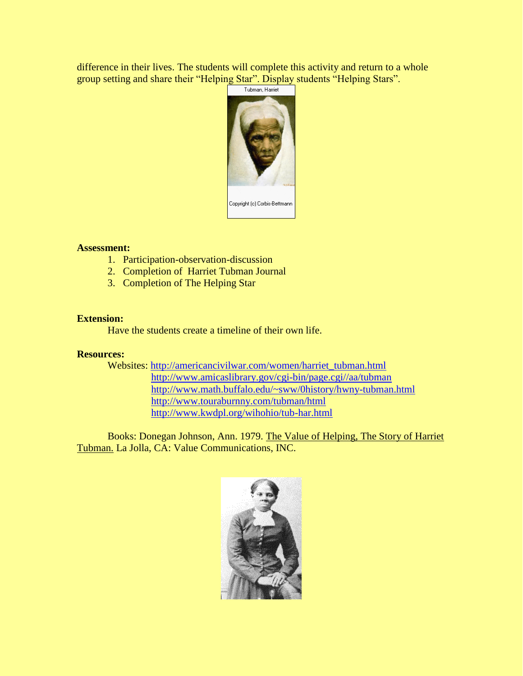difference in their lives. The students will complete this activity and return to a whole group setting and share their "Helping Star". Display students "Helping Stars".



## **Assessment:**

- 1. Participation-observation-discussion
- 2. Completion of Harriet Tubman Journal
- 3. Completion of The Helping Star

### **Extension:**

Have the students create a timeline of their own life.

### **Resources:**

Websites: [http://americancivilwar.com/women/harriet\\_tubman.html](http://americancivilwar.com/women/harriet_tubman.html) [http://www.amicaslibrary.gov/cgi-bin/page.cgi//aa/tubman](http://www.amicaslibrary.gov/cgi-bin/page.cgi/aa/tubman) <http://www.math.buffalo.edu/~sww/0history/hwny-tubman.html> <http://www.touraburnny.com/tubman/html> <http://www.kwdpl.org/wihohio/tub-har.html>

Books: Donegan Johnson, Ann. 1979. The Value of Helping, The Story of Harriet Tubman. La Jolla, CA: Value Communications, INC.